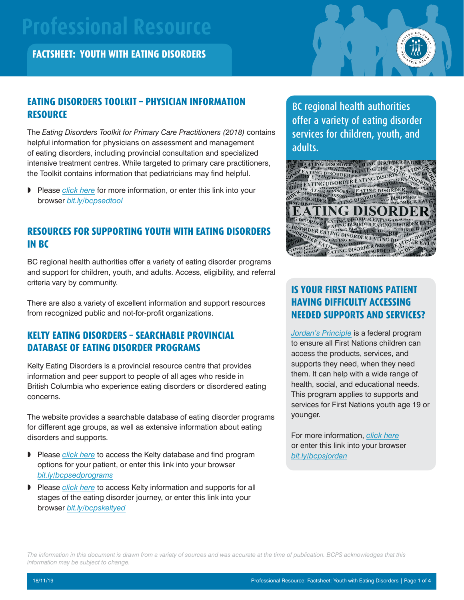# **Professional Resource**

**FACTSHEET: YOUTH WITH EATING DISORDERS**



## **EATING DISORDERS TOOLKIT – PHYSICIAN INFORMATION RESOURCE**

The *Eating Disorders Toolkit for Primary Care Practitioners (2018)* contains helpful information for physicians on assessment and management of eating disorders, including provincial consultation and specialized intensive treatment centres. While targeted to primary care practitioners, the Toolkit contains information that pediatricians may find helpful.

» Please *[click here](https://www.interiorhealth.ca/AboutUs/Physicians/Documents/822062%20Eating%20Disorders%20Toolkit%20for%20PCP.pdf)* for more information, or enter this link into your browser *[bit.ly/bcpsedtool](http://bit.ly/bcpsedtool)*

## **RESOURCES FOR SUPPORTING YOUTH WITH EATING DISORDERS IN BC**

BC regional health authorities offer a variety of eating disorder programs and support for children, youth, and adults. Access, eligibility, and referral criteria vary by community.

There are also a variety of excellent information and support resources from recognized public and not-for-profit organizations.

# **KELTY EATING DISORDERS – SEARCHABLE PROVINCIAL DATABASE OF EATING DISORDER PROGRAMS**

Kelty Eating Disorders is a provincial resource centre that provides information and peer support to people of all ages who reside in British Columbia who experience eating disorders or disordered eating concerns.

The website provides a searchable database of eating disorder programs for different age groups, as well as extensive information about eating disorders and supports.

- » Please *[click here](https://keltyeatingdisorders.ca/finding-help/programs/)* to access the Kelty database and find program options for your patient, or enter this link into your browser *[bit.ly/bcpsedprograms](http://bit.ly/bcpsedprograms)*
- » Please *[click here](https://keltyeatingdisorders.ca)* to access Kelty information and supports for all stages of the eating disorder journey, or enter this link into your browser *[bit.ly/bcpskeltyed](http://bit.ly/bcpskeltyed)*

BC regional health authorities offer a variety of eating disorder services for children, youth, and adults.



# **IS YOUR FIRST NATIONS PATIENT HAVING DIFFICULTY ACCESSING NEEDED SUPPORTS AND SERVICES?**

*[Jordan's Principle](https://www.canada.ca/en/indigenous-services-canada/services/jordans-principle/definition-jordans-principle-canadian-human-rights-tribunal.html)* is a federal program to ensure all First Nations children can access the products, services, and supports they need, when they need them. It can help with a wide range of health, social, and educational needs. This program applies to supports and services for First Nations youth age 19 or younger.

For more information, *[click here](https://www.fnha.ca/what-we-do/maternal-child-and-family-health/jordans-principle)* or enter this link into your browser *[bit.ly/bcpsjordan](http://bit.ly/bcpsjordan)*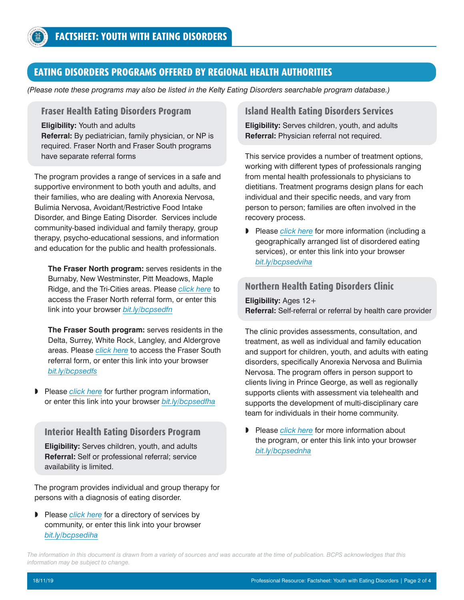## **EATING DISORDERS PROGRAMS OFFERED BY REGIONAL HEALTH AUTHORITIES**

*(Please note these programs may also be listed in the Kelty Eating Disorders searchable program database.)*

#### **Fraser Health Eating Disorders Program**

**Eligibility:** Youth and adults **Referral:** By pediatrician, family physician, or NP is required. Fraser North and Fraser South programs have separate referral forms

The program provides a range of services in a safe and supportive environment to both youth and adults, and their families, who are dealing with Anorexia Nervosa, Bulimia Nervosa, Avoidant/Restrictive Food Intake Disorder, and Binge Eating Disorder. Services include community-based individual and family therapy, group therapy, psycho-educational sessions, and information and education for the public and health professionals.

**The Fraser North program:** serves residents in the Burnaby, New Westminster, Pitt Meadows, Maple Ridge, and the Tri-Cities areas. Please *[click here](https://www.fraserhealth.ca/-/media/Project/FraserHealth/FraserHealth/Locations-and-Services/Services/Referral-Forms/201903_Eating_Disorders_Program_Referral_Form_Fraser_North.pdf?la=en&hash=11BA5E3D1E9FBE119DD89591CB57D045B96DFC15)* to access the Fraser North referral form, or enter this link into your browser *[bit.ly/bcpsedfn](http://bit.ly/bcpsedfn)*

**The Fraser South program:** serves residents in the Delta, Surrey, White Rock, Langley, and Aldergrove areas. Please *[click here](https://www.fraserhealth.ca/-/media/Project/FraserHealth/FraserHealth/Locations-and-Services/Services/Referral-Forms/201903_Eating_Disorders_Program_Referral_Form_Fraser_South.pdf?la=en&hash=6F1F4520A68965AF4B982DA0951E760EB41FE4F1)* to access the Fraser South referral form, or enter this link into your browser *[bit.ly/bcpsedfs](http://bit.ly/bcpsedfs)*

» Please *[click here](https://www.fraserhealth.ca/Service-Directory/Services/mental-health-and-substance-use/mental-health---community-services/eating-disorders-program#.XYF2OK3Myl5)* for further program information, or enter this link into your browser *[bit.ly/bcpsedfha](http://bit.ly/bcpsedfha)*

#### **Interior Health Eating Disorders Program**

**Eligibility:** Serves children, youth, and adults **Referral:** Self or professional referral; service availability is limited.

The program provides individual and group therapy for persons with a diagnosis of eating disorder.

» Please *[click here](https://www.interiorhealth.ca/YourCare/MentalHealthSubstanceUse/MentalHealth/Documents/Eating%20Disorder%20Directory.pdf)* for a directory of services by community, or enter this link into your browser *[bit.ly/bcpsediha](http://bit.ly/bcpsediha)*

#### **Island Health Eating Disorders Services**

**Eligibility:** Serves children, youth, and adults **Referral:** Physician referral not required.

This service provides a number of treatment options, working with different types of professionals ranging from mental health professionals to physicians to dietitians. Treatment programs design plans for each individual and their specific needs, and vary from person to person; families are often involved in the recovery process.

» Please *[click here](https://www.islandhealth.ca/our-services/eating-disorders-services/eating-disorders-treatment)* for more information (including a geographically arranged list of disordered eating services), or enter this link into your browser *[bit.ly/bcpsedviha](http://bit.ly/bcpsedviha)*

#### **Northern Health Eating Disorders Clinic**

**Eligibility:** Ages 12+ **Referral:** Self-referral or referral by health care provider

The clinic provides assessments, consultation, and treatment, as well as individual and family education and support for children, youth, and adults with eating disorders, specifically Anorexia Nervosa and Bulimia Nervosa. The program offers in person support to clients living in Prince George, as well as regionally supports clients with assessment via telehealth and supports the development of multi-disciplinary care team for individuals in their home community.

» Please *[click here](https://www.northernhealth.ca/services/mental-health-substance-use/programs-and-services#eating-disorders-clinic)* for more information about the program, or enter this link into your browser *[bit.ly/bcpsednha](http://bit.ly/bcpsednha)*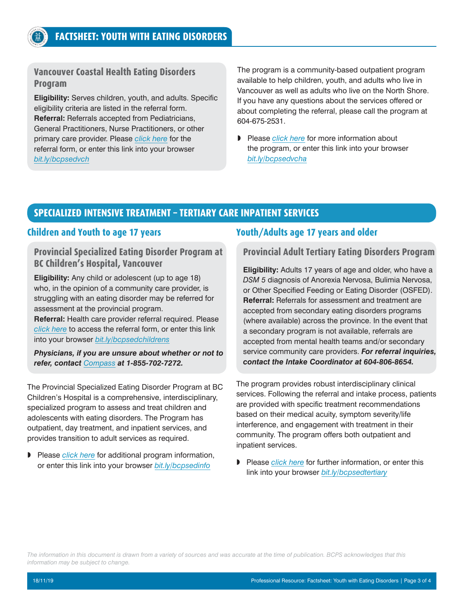### **Vancouver Coastal Health Eating Disorders Program**

**Eligibility:** Serves children, youth, and adults. Specific eligibility criteria are listed in the referral form. **Referral:** Referrals accepted from Pediatricians, General Practitioners, Nurse Practitioners, or other primary care provider. Please *[click here](http://www.vch.ca/Documents/Eating-disorders-new-client-referral.pdf)* for the referral form, or enter this link into your browser *[bit.ly/bcpsedvch](http://bit.ly/bcpsedvch)*

The program is a community-based outpatient program available to help children, youth, and adults who live in Vancouver as well as adults who live on the North Shore. If you have any questions about the services offered or about completing the referral, please call the program at 604-675-2531.

» Please *[click here](http://www.vch.ca/Locations-Services/result?res_id=896)* for more information about the program, or enter this link into your browser *[bit.ly/bcpsedvcha](http://bit.ly/bcpsedvcha)*

## **SPECIALIZED INTENSIVE TREATMENT – TERTIARY CARE INPATIENT SERVICES**

#### **Children and Youth to age 17 years**

**Provincial Specialized Eating Disorder Program at BC Children's Hospital, Vancouver**

**Eligibility:** Any child or adolescent (up to age 18) who, in the opinion of a community care provider, is struggling with an eating disorder may be referred for assessment at the provincial program.

**Referral:** Health care provider referral required. Please *[click here](http://www.bcchildrens.ca/mental-health-services-site/Documents/Looking%20Glass%20Referral%20Guidelines%20and%20Referral%20Form_2019.pdf)* to access the referral form, or enter this link into your browser *[bit.ly/bcpsedchildrens](http://bit.ly/bcpsedchildrens)*

*Physicians, if you are unsure about whether or not to refer, contact [Compass](https://compassbc.ca) at 1-855-702-7272.*

The Provincial Specialized Eating Disorder Program at BC Children's Hospital is a comprehensive, interdisciplinary, specialized program to assess and treat children and adolescents with eating disorders. The Program has outpatient, day treatment, and inpatient services, and provides transition to adult services as required.

» Please *[click here](http://www.bcchildrens.ca/our-services/mental-health-services/eating-disorders)* for additional program information, or enter this link into your browser *[bit.ly/bcpsedinfo](http://bit.ly/bcpsedinfo)*

## **Youth/Adults age 17 years and older**

#### **Provincial Adult Tertiary Eating Disorders Program**

**Eligibility:** Adults 17 years of age and older, who have a *DSM 5* diagnosis of Anorexia Nervosa, Bulimia Nervosa, or Other Specified Feeding or Eating Disorder (OSFED). **Referral:** Referrals for assessment and treatment are accepted from secondary eating disorders programs (where available) across the province. In the event that a secondary program is not available, referrals are accepted from mental health teams and/or secondary service community care providers. *For referral inquiries, contact the Intake Coordinator at 604-806-8654.*

The program provides robust interdisciplinary clinical services. Following the referral and intake process, patients are provided with specific treatment recommendations based on their medical acuity, symptom severity/life interference, and engagement with treatment in their community. The program offers both outpatient and inpatient services.

» Please *[click here](http://mh.providencehealthcare.org/programs/provincial-adult-tertiary-eating-disorders-program)* for further information, or enter this link into your browser *[bit.ly/bcpsedtertiary](http://bit.ly/bcpsedtertiary)*